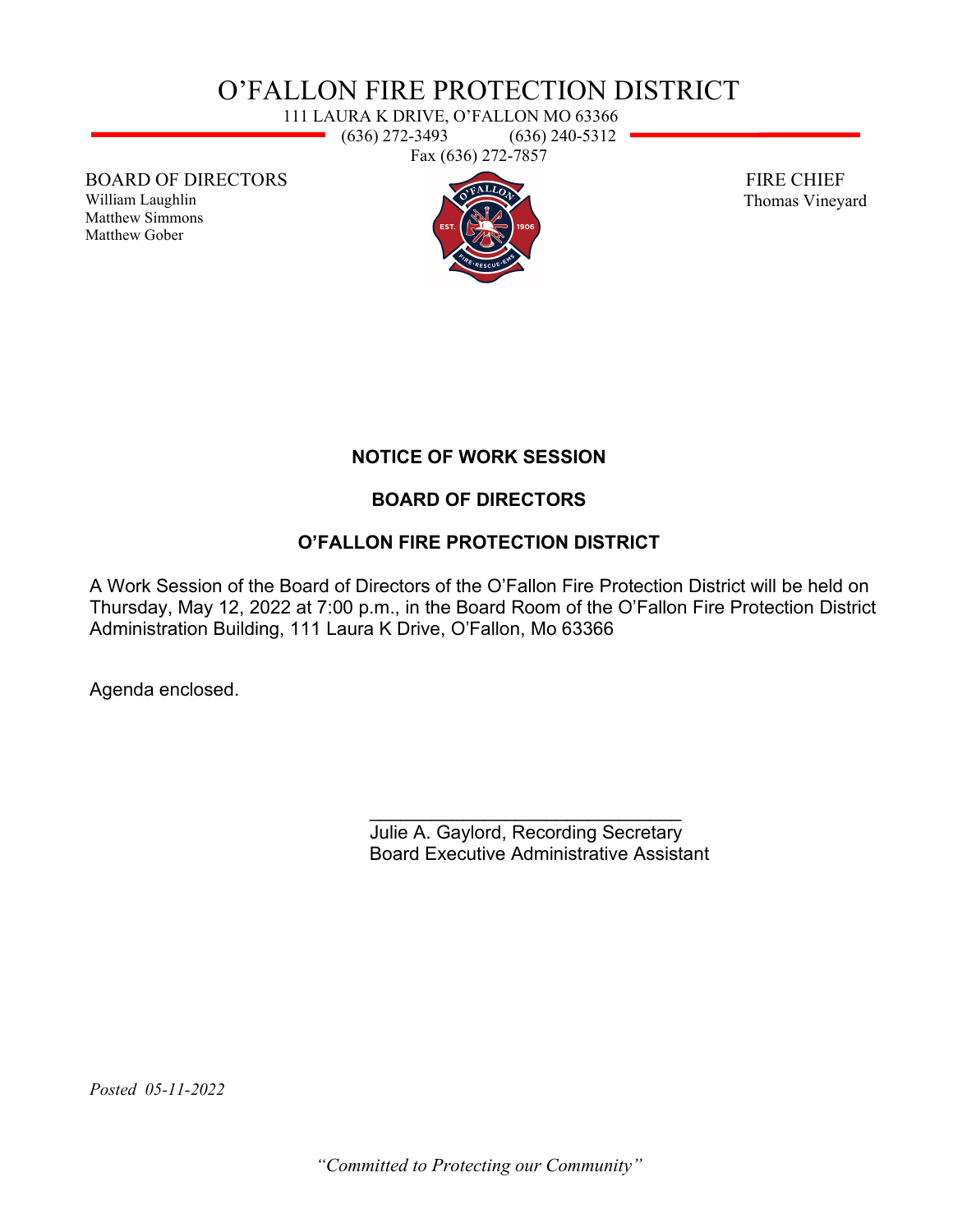# O'FALLON FIRE PROTECTION DISTRICT

111 LAURA K DRIVE, O'FALLON MO 63366  $\rightarrow$  (636) 272-3493 (636) 240-5312 Fax (636) 272-7857

BOARD OF DIRECTORS

William Laughlin Matthew Simmons Matthew Gober



 FIRE CHIEF Thomas Vineyard

## **NOTICE OF WORK SESSION**

### **BOARD OF DIRECTORS**

### **O'FALLON FIRE PROTECTION DISTRICT**

A Work Session of the Board of Directors of the O'Fallon Fire Protection District will be held on Thursday, May 12, 2022 at 7:00 p.m., in the Board Room of the O'Fallon Fire Protection District Administration Building, 111 Laura K Drive, O'Fallon, Mo 63366

Agenda enclosed.

\_\_\_\_\_\_\_\_\_\_\_\_\_\_\_\_\_\_\_\_\_\_\_\_\_\_\_\_\_\_ Julie A. Gaylord, Recording Secretary Board Executive Administrative Assistant

*Posted 05-11-2022* 

*"Committed to Protecting our Community"*